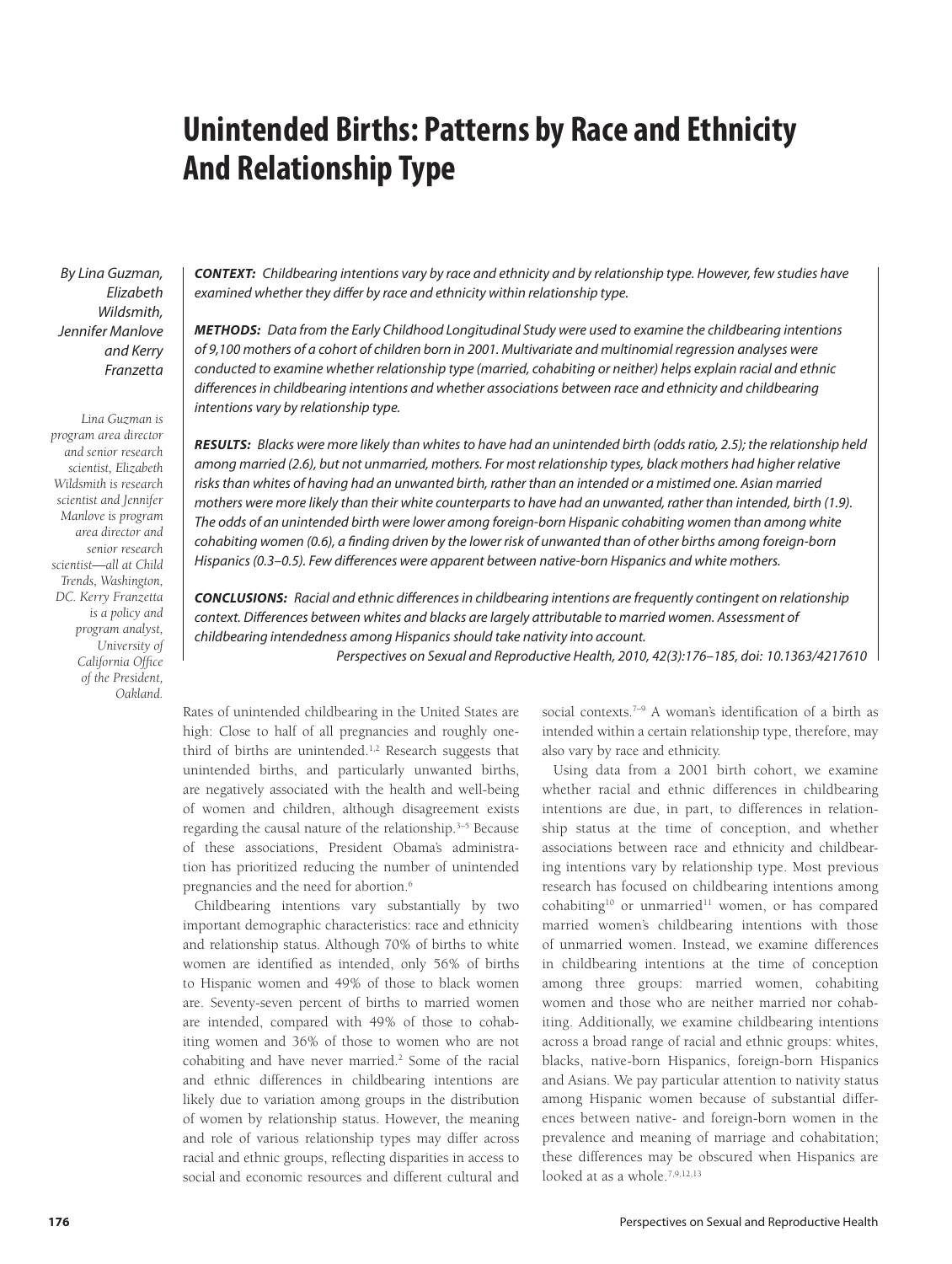# **Unintended Births: Patterns by Race and Ethnicity And Relationship Type**

By Lina Guzman, Elizabeth Wildsmith, Jennifer Manlove and Kerry Franzetta

*Lina Guzman is program area director and senior research scientist, Elizabeth Wildsmith is research scientist and Jennifer Manlove is program area director and senior research scientist—all at Child Trends, Washington, DC. Kerry Franzetta is a policy and program analyst, University of California Office of the President, Oakland.*

*CONTEXT:* Childbearing intentions vary by race and ethnicity and by relationship type. However, few studies have examined whether they differ by race and ethnicity within relationship type.

*METHODS:* Data from the Early Childhood Longitudinal Study were used to examine the childbearing intentions of 9,100 mothers of a cohort of children born in 2001. Multivariate and multinomial regression analyses were conducted to examine whether relationship type (married, cohabiting or neither) helps explain racial and ethnic differences in childbearing intentions and whether associations between race and ethnicity and childbearing intentions vary by relationship type.

*RESULTS:* Blacks were more likely than whites to have had an unintended birth (odds ratio, 2.5); the relationship held among married (2.6), but not unmarried, mothers. For most relationship types, black mothers had higher relative risks than whites of having had an unwanted birth, rather than an intended or a mistimed one. Asian married mothers were more likely than their white counterparts to have had an unwanted, rather than intended, birth (1.9). The odds of an unintended birth were lower among foreign-born Hispanic cohabiting women than among white cohabiting women (0.6), a finding driven by the lower risk of unwanted than of other births among foreign-born Hispanics (0.3–0.5). Few differences were apparent between native-born Hispanics and white mothers.

**CONCLUSIONS:** Racial and ethnic differences in childbearing intentions are frequently contingent on relationship context. Differences between whites and blacks are largely attributable to married women. Assessment of childbearing intendedness among Hispanics should take nativity into account. Perspectives on Sexual and Reproductive Health, 2010, 42(3):176–185, doi: 10.1363/4217610

Rates of unintended childbearing in the United States are high: Close to half of all pregnancies and roughly onethird of births are unintended.<sup>1,2</sup> Research suggests that unintended births, and particularly unwanted births, are negatively associated with the health and well-being of women and children, although disagreement exists regarding the causal nature of the relationship.<sup>3–5</sup> Because of these associations, President Obama's administration has prioritized reducing the number of unintended pregnancies and the need for abortion.<sup>6</sup>

Childbearing intentions vary substantially by two important demographic characteristics: race and ethnicity and relationship status. Although 70% of births to white women are identified as intended, only 56% of births to Hispanic women and 49% of those to black women are. Seventy-seven percent of births to married women are intended, compared with 49% of those to cohabiting women and 36% of those to women who are not cohabiting and have never married.<sup>2</sup> Some of the racial and ethnic differences in childbearing intentions are likely due to variation among groups in the distribution of women by relationship status. However, the meaning and role of various relationship types may differ across racial and ethnic groups, reflecting disparities in access to social and economic resources and different cultural and

social contexts.<sup>7-9</sup> A woman's identification of a birth as intended within a certain relationship type, therefore, may also vary by race and ethnicity.

Using data from a 2001 birth cohort, we examine whether racial and ethnic differences in childbearing intentions are due, in part, to differences in relationship status at the time of conception, and whether associations between race and ethnicity and childbearing intentions vary by relationship type. Most previous research has focused on childbearing intentions among cohabiting<sup>10</sup> or unmarried<sup>11</sup> women, or has compared married women's childbearing intentions with those of unmarried women. Instead, we examine differences in childbearing intentions at the time of conception among three groups: married women, cohabiting women and those who are neither married nor cohabiting. Additionally, we examine childbearing intentions across a broad range of racial and ethnic groups: whites, blacks, native-born Hispanics, foreign-born Hispanics and Asians. We pay particular attention to nativity status among Hispanic women because of substantial differences between native- and foreign-born women in the prevalence and meaning of marriage and cohabitation; these differences may be obscured when Hispanics are looked at as a whole.<sup>7,9,12,13</sup>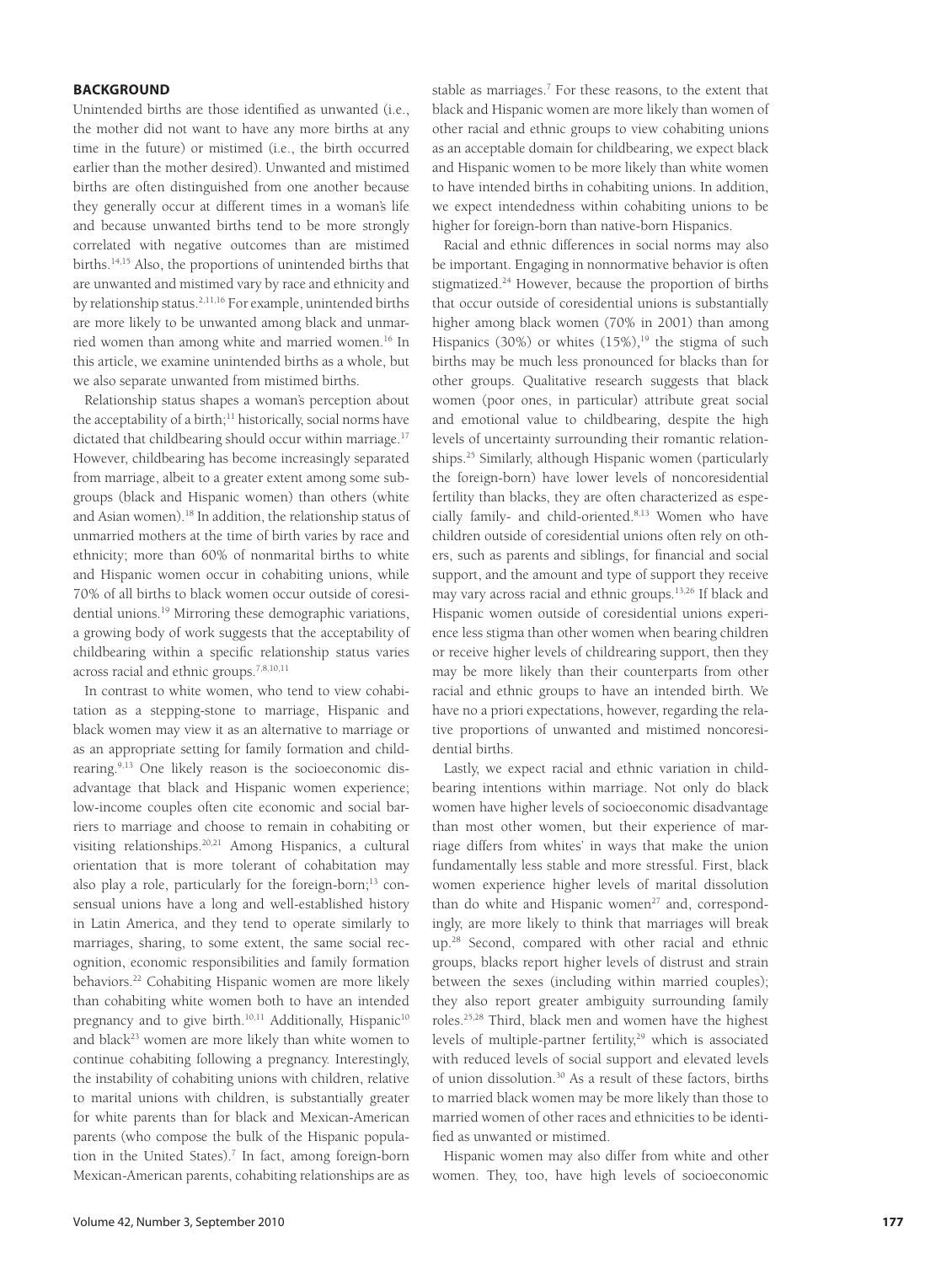# **BACKGROUND**

Unintended births are those identified as unwanted (i.e., the mother did not want to have any more births at any time in the future) or mistimed (i.e., the birth occurred earlier than the mother desired). Unwanted and mistimed births are often distinguished from one another because they generally occur at different times in a woman's life and because unwanted births tend to be more strongly correlated with negative outcomes than are mistimed births.14,15 Also, the proportions of unintended births that are unwanted and mistimed vary by race and ethnicity and by relationship status.<sup>2,11,16</sup> For example, unintended births are more likely to be unwanted among black and unmarried women than among white and married women.16 In this article, we examine unintended births as a whole, but we also separate unwanted from mistimed births.

Relationship status shapes a woman's perception about the acceptability of a birth; $11$  historically, social norms have dictated that childbearing should occur within marriage.<sup>17</sup> However, childbearing has become increasingly separated from marriage, albeit to a greater extent among some subgroups (black and Hispanic women) than others (white and Asian women).18 In addition, the relationship status of unmarried mothers at the time of birth varies by race and ethnicity; more than 60% of nonmarital births to white and Hispanic women occur in cohabiting unions, while 70% of all births to black women occur outside of coresidential unions.19 Mirroring these demographic variations, a growing body of work suggests that the acceptability of childbearing within a specific relationship status varies across racial and ethnic groups.7,8,10,11

In contrast to white women, who tend to view cohabitation as a stepping-stone to marriage, Hispanic and black women may view it as an alternative to marriage or as an appropriate setting for family formation and childrearing.<sup>9,13</sup> One likely reason is the socioeconomic disadvantage that black and Hispanic women experience; low-income couples often cite economic and social barriers to marriage and choose to remain in cohabiting or visiting relationships.20,21 Among Hispanics, a cultural orientation that is more tolerant of cohabitation may also play a role, particularly for the foreign-born;<sup>13</sup> consensual unions have a long and well-established history in Latin America, and they tend to operate similarly to marriages, sharing, to some extent, the same social recognition, economic responsibilities and family formation behaviors.22 Cohabiting Hispanic women are more likely than cohabiting white women both to have an intended pregnancy and to give birth.<sup>10,11</sup> Additionally, Hispanic<sup>10</sup> and black<sup>23</sup> women are more likely than white women to continue cohabiting following a pregnancy. Interestingly, the instability of cohabiting unions with children, relative to marital unions with children, is substantially greater for white parents than for black and Mexican-American parents (who compose the bulk of the Hispanic population in the United States).<sup>7</sup> In fact, among foreign-born Mexican-American parents, cohabiting relationships are as

stable as marriages.<sup>7</sup> For these reasons, to the extent that black and Hispanic women are more likely than women of other racial and ethnic groups to view cohabiting unions as an acceptable domain for childbearing, we expect black and Hispanic women to be more likely than white women to have intended births in cohabiting unions. In addition, we expect intendedness within cohabiting unions to be higher for foreign-born than native-born Hispanics.

Racial and ethnic differences in social norms may also be important. Engaging in nonnormative behavior is often stigmatized.24 However, because the proportion of births that occur outside of coresidential unions is substantially higher among black women (70% in 2001) than among Hispanics (30%) or whites  $(15\%)$ ,<sup>19</sup> the stigma of such births may be much less pronounced for blacks than for other groups. Qualitative research suggests that black women (poor ones, in particular) attribute great social and emotional value to childbearing, despite the high levels of uncertainty surrounding their romantic relationships.25 Similarly, although Hispanic women (particularly the foreign-born) have lower levels of noncoresidential fertility than blacks, they are often characterized as especially family- and child-oriented.8,13 Women who have children outside of coresidential unions often rely on others, such as parents and siblings, for financial and social support, and the amount and type of support they receive may vary across racial and ethnic groups.13,26 If black and Hispanic women outside of coresidential unions experience less stigma than other women when bearing children or receive higher levels of childrearing support, then they may be more likely than their counterparts from other racial and ethnic groups to have an intended birth. We have no a priori expectations, however, regarding the relative proportions of unwanted and mistimed noncoresidential births.

Lastly, we expect racial and ethnic variation in childbearing intentions within marriage. Not only do black women have higher levels of socioeconomic disadvantage than most other women, but their experience of marriage differs from whites' in ways that make the union fundamentally less stable and more stressful. First, black women experience higher levels of marital dissolution than do white and Hispanic women<sup>27</sup> and, correspondingly, are more likely to think that marriages will break up.28 Second, compared with other racial and ethnic groups, blacks report higher levels of distrust and strain between the sexes (including within married couples); they also report greater ambiguity surrounding family roles.25,28 Third, black men and women have the highest levels of multiple-partner fertility,<sup>29</sup> which is associated with reduced levels of social support and elevated levels of union dissolution.30 As a result of these factors, births to married black women may be more likely than those to married women of other races and ethnicities to be identified as unwanted or mistimed.

Hispanic women may also differ from white and other women. They, too, have high levels of socioeconomic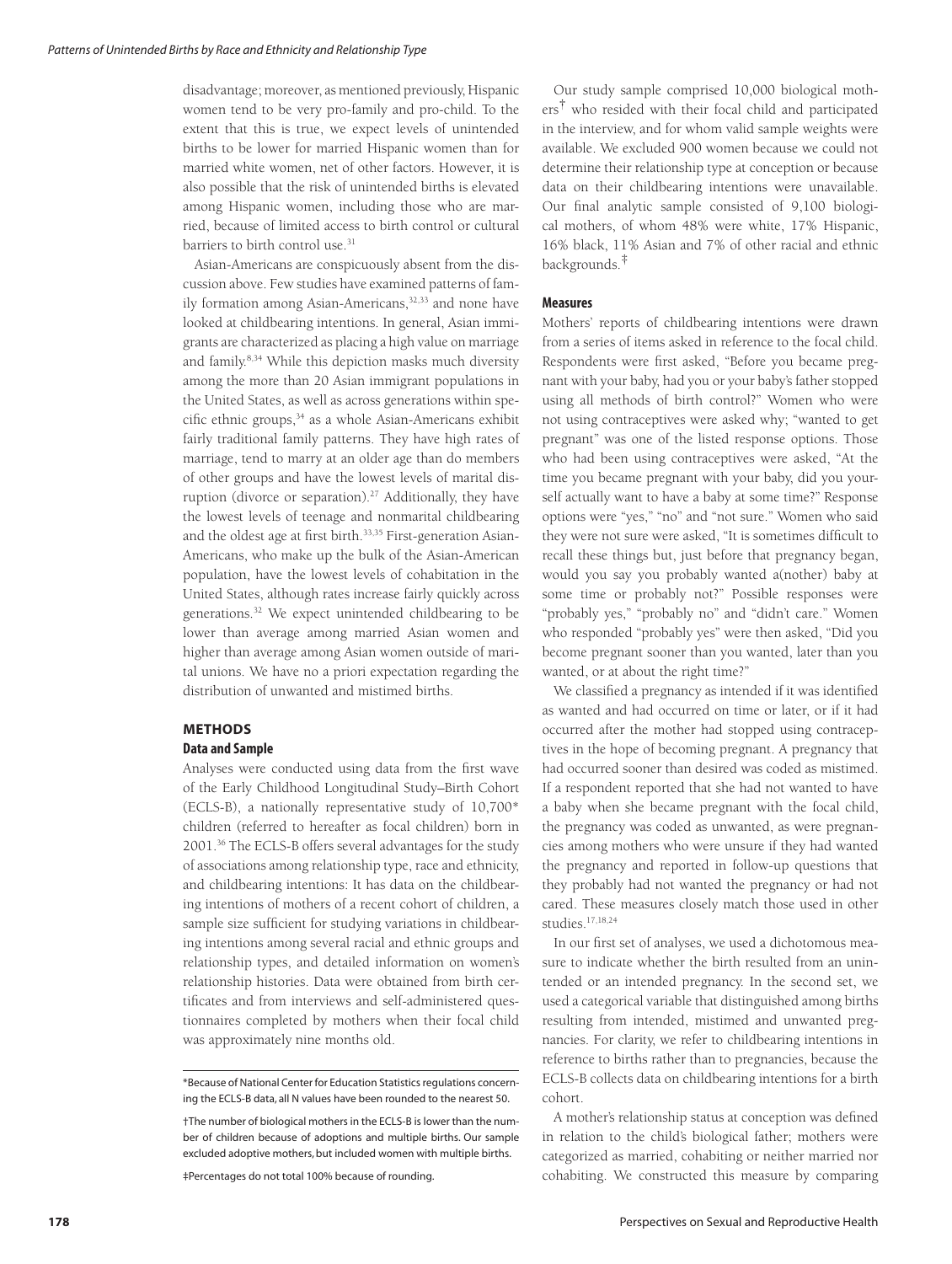disadvantage; moreover, as mentioned previously, Hispanic women tend to be very pro-family and pro-child. To the extent that this is true, we expect levels of unintended births to be lower for married Hispanic women than for married white women, net of other factors. However, it is also possible that the risk of unintended births is elevated among Hispanic women, including those who are married, because of limited access to birth control or cultural barriers to birth control use.31

Asian-Americans are conspicuously absent from the discussion above. Few studies have examined patterns of family formation among Asian-Americans,<sup>32,33</sup> and none have looked at childbearing intentions. In general, Asian immigrants are characterized as placing a high value on marriage and family.8,34 While this depiction masks much diversity among the more than 20 Asian immigrant populations in the United States, as well as across generations within specific ethnic groups,<sup>34</sup> as a whole Asian-Americans exhibit fairly traditional family patterns. They have high rates of marriage, tend to marry at an older age than do members of other groups and have the lowest levels of marital disruption (divorce or separation).<sup>27</sup> Additionally, they have the lowest levels of teenage and nonmarital childbearing and the oldest age at first birth.<sup>33,35</sup> First-generation Asian-Americans, who make up the bulk of the Asian-American population, have the lowest levels of cohabitation in the United States, although rates increase fairly quickly across generations.32 We expect unintended childbearing to be lower than average among married Asian women and higher than average among Asian women outside of marital unions. We have no a priori expectation regarding the distribution of unwanted and mistimed births.

# **METHODS**

## **Data and Sample**

Analyses were conducted using data from the first wave of the Early Childhood Longitudinal Study–Birth Cohort (ECLS-B), a nationally representative study of 10,700\* children (referred to hereafter as focal children) born in 2001.36 The ECLS-B offers several advantages for the study of associations among relationship type, race and ethnicity, and childbearing intentions: It has data on the childbearing intentions of mothers of a recent cohort of children, a sample size sufficient for studying variations in childbearing intentions among several racial and ethnic groups and relationship types, and detailed information on women's relationship histories. Data were obtained from birth certificates and from interviews and self-administered questionnaires completed by mothers when their focal child was approximately nine months old.

‡Percentages do not total 100% because of rounding.

Our study sample comprised 10,000 biological mothers† who resided with their focal child and participated in the interview, and for whom valid sample weights were available. We excluded 900 women because we could not determine their relationship type at conception or because data on their childbearing intentions were unavailable. Our final analytic sample consisted of 9,100 biological mothers, of whom 48% were white, 17% Hispanic, 16% black, 11% Asian and 7% of other racial and ethnic backgrounds.‡

## **Measures**

Mothers' reports of childbearing intentions were drawn from a series of items asked in reference to the focal child. Respondents were first asked, "Before you became pregnant with your baby, had you or your baby's father stopped using all methods of birth control?" Women who were not using contraceptives were asked why; "wanted to get pregnant" was one of the listed response options. Those who had been using contraceptives were asked, "At the time you became pregnant with your baby, did you yourself actually want to have a baby at some time?" Response options were "yes," "no" and "not sure." Women who said they were not sure were asked, "It is sometimes difficult to recall these things but, just before that pregnancy began, would you say you probably wanted a(nother) baby at some time or probably not?" Possible responses were "probably yes," "probably no" and "didn't care." Women who responded "probably yes" were then asked, "Did you become pregnant sooner than you wanted, later than you wanted, or at about the right time?"

We classified a pregnancy as intended if it was identified as wanted and had occurred on time or later, or if it had occurred after the mother had stopped using contraceptives in the hope of becoming pregnant. A pregnancy that had occurred sooner than desired was coded as mistimed. If a respondent reported that she had not wanted to have a baby when she became pregnant with the focal child, the pregnancy was coded as unwanted, as were pregnancies among mothers who were unsure if they had wanted the pregnancy and reported in follow-up questions that they probably had not wanted the pregnancy or had not cared. These measures closely match those used in other studies.17,18,24

In our first set of analyses, we used a dichotomous measure to indicate whether the birth resulted from an unintended or an intended pregnancy. In the second set, we used a categorical variable that distinguished among births resulting from intended, mistimed and unwanted pregnancies. For clarity, we refer to childbearing intentions in reference to births rather than to pregnancies, because the ECLS-B collects data on childbearing intentions for a birth cohort.

A mother's relationship status at conception was defined in relation to the child's biological father; mothers were categorized as married, cohabiting or neither married nor cohabiting. We constructed this measure by comparing

<sup>\*</sup>Because of National Center for Education Statistics regulations concerning the ECLS-B data, all N values have been rounded to the nearest 50.

<sup>†</sup>The number of biological mothers in the ECLS-B is lower than the number of children because of adoptions and multiple births. Our sample excluded adoptive mothers, but included women with multiple births.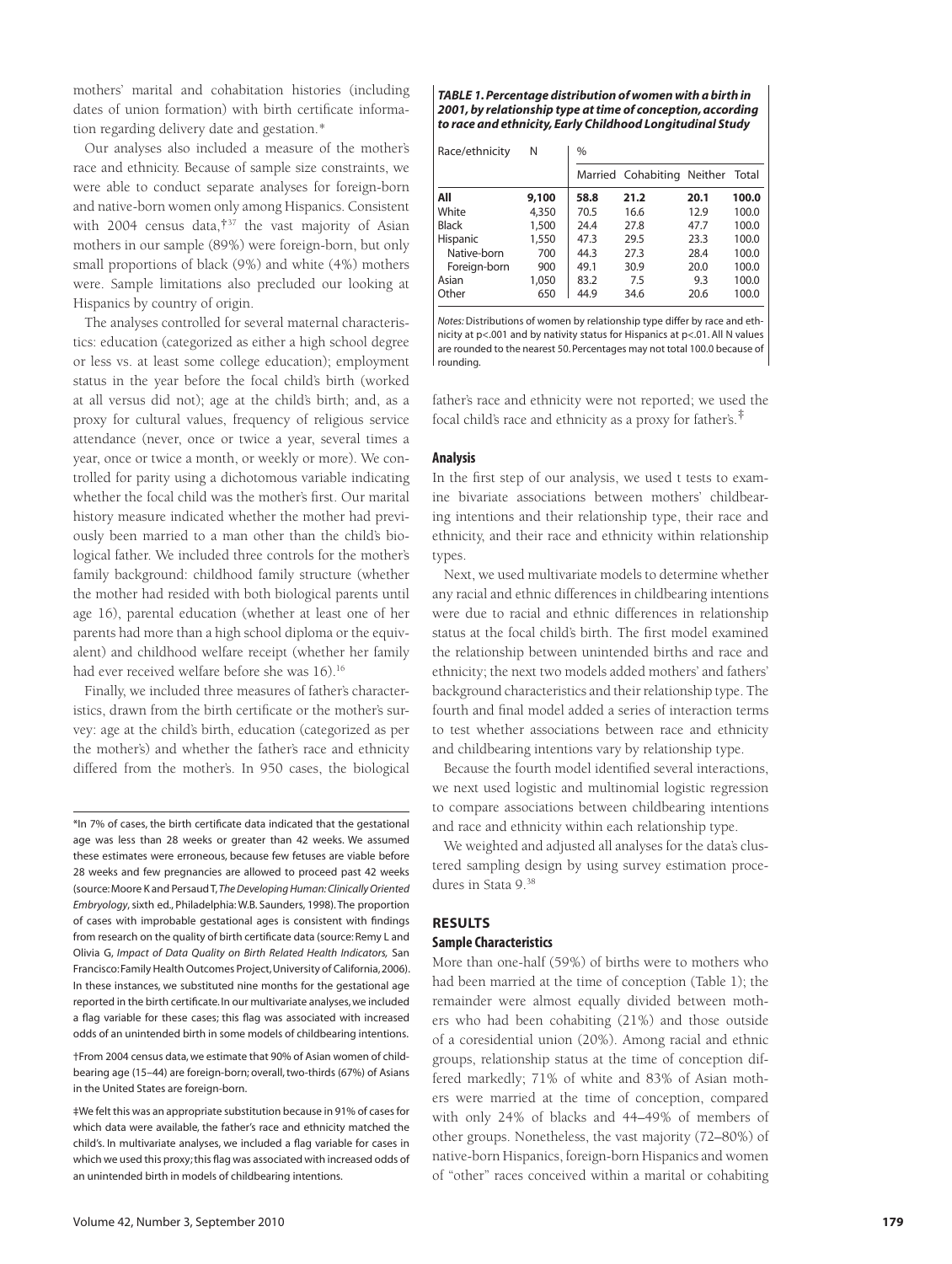mothers' marital and cohabitation histories (including dates of union formation) with birth certificate information regarding delivery date and gestation.\*

Our analyses also included a measure of the mother's race and ethnicity. Because of sample size constraints, we were able to conduct separate analyses for foreign-born and native-born women only among Hispanics. Consistent with 2004 census data,<sup>†37</sup> the vast majority of Asian mothers in our sample (89%) were foreign-born, but only small proportions of black (9%) and white (4%) mothers were. Sample limitations also precluded our looking at Hispanics by country of origin.

The analyses controlled for several maternal characteristics: education (categorized as either a high school degree or less vs. at least some college education); employment status in the year before the focal child's birth (worked at all versus did not); age at the child's birth; and, as a proxy for cultural values, frequency of religious service attendance (never, once or twice a year, several times a year, once or twice a month, or weekly or more). We controlled for parity using a dichotomous variable indicating whether the focal child was the mother's first. Our marital history measure indicated whether the mother had previously been married to a man other than the child's biological father. We included three controls for the mother's family background: childhood family structure (whether the mother had resided with both biological parents until age 16), parental education (whether at least one of her parents had more than a high school diploma or the equivalent) and childhood welfare receipt (whether her family had ever received welfare before she was 16).16

Finally, we included three measures of father's characteristics, drawn from the birth certificate or the mother's survey: age at the child's birth, education (categorized as per the mother's) and whether the father's race and ethnicity differed from the mother's. In 950 cases, the biological

\*In 7% of cases, the birth certificate data indicated that the gestational age was less than 28 weeks or greater than 42 weeks. We assumed these estimates were erroneous, because few fetuses are viable before 28 weeks and few pregnancies are allowed to proceed past 42 weeks (source: Moore K and Persaud T, *The Developing Human: Clinically Oriented Embryology*, sixth ed., Philadelphia: W.B. Saunders, 1998). The proportion of cases with improbable gestational ages is consistent with findings from research on the quality of birth certificate data (source: Remy L and Olivia G, *Impact of Data Quality on Birth Related Health Indicators,* San Francisco: Family Health Outcomes Project, University of California, 2006). In these instances, we substituted nine months for the gestational age reported in the birth certificate. In our multivariate analyses, we included a flag variable for these cases; this flag was associated with increased odds of an unintended birth in some models of childbearing intentions.

†From 2004 census data, we estimate that 90% of Asian women of childbearing age (15–44) are foreign-born; overall, two-thirds (67%) of Asians in the United States are foreign-born.

‡We felt this was an appropriate substitution because in 91% of cases for which data were available, the father's race and ethnicity matched the child's. In multivariate analyses, we included a flag variable for cases in which we used this proxy; this flag was associated with increased odds of an unintended birth in models of childbearing intentions.

*TABLE 1. Percentage distribution of women with a birth in 2001, by relationship type at time of conception, according to race and ethnicity, Early Childhood Longitudinal Study* 

| Race/ethnicity | N     | $\%$ |                                  |      |       |  |
|----------------|-------|------|----------------------------------|------|-------|--|
|                |       |      | Married Cohabiting Neither Total |      |       |  |
| All            | 9,100 | 58.8 | 21.2                             | 20.1 | 100.0 |  |
| White          | 4,350 | 70.5 | 16.6                             | 12.9 | 100.0 |  |
| <b>Black</b>   | 1,500 | 24.4 | 27.8                             | 47.7 | 100.0 |  |
| Hispanic       | 1,550 | 47.3 | 29.5                             | 23.3 | 100.0 |  |
| Native-born    | 700   | 44.3 | 27.3                             | 28.4 | 100.0 |  |
| Foreign-born   | 900   | 49.1 | 30.9                             | 20.0 | 100.0 |  |
| Asian          | 1,050 | 83.2 | 7.5                              | 9.3  | 100.0 |  |
| Other          | 650   | 44.9 | 34.6                             | 20.6 | 100.0 |  |

*Notes:* Distributions of women by relationship type differ by race and ethnicity at p<.001 and by nativity status for Hispanics at p<.01. All N values are rounded to the nearest 50. Percentages may not total 100.0 because of rounding.

father's race and ethnicity were not reported; we used the focal child's race and ethnicity as a proxy for father's.<sup>‡</sup>

## **Analysis**

In the first step of our analysis, we used t tests to examine bivariate associations between mothers' childbearing intentions and their relationship type, their race and ethnicity, and their race and ethnicity within relationship types.

Next, we used multivariate models to determine whether any racial and ethnic differences in childbearing intentions were due to racial and ethnic differences in relationship status at the focal child's birth. The first model examined the relationship between unintended births and race and ethnicity; the next two models added mothers' and fathers' background characteristics and their relationship type. The fourth and final model added a series of interaction terms to test whether associations between race and ethnicity and childbearing intentions vary by relationship type.

Because the fourth model identified several interactions, we next used logistic and multinomial logistic regression to compare associations between childbearing intentions and race and ethnicity within each relationship type.

We weighted and adjusted all analyses for the data's clustered sampling design by using survey estimation procedures in Stata 9.38

# **RESULTS Sample Characteristics**

More than one-half (59%) of births were to mothers who had been married at the time of conception (Table 1); the remainder were almost equally divided between mothers who had been cohabiting (21%) and those outside of a coresidential union (20%). Among racial and ethnic groups, relationship status at the time of conception differed markedly; 71% of white and 83% of Asian mothers were married at the time of conception, compared with only 24% of blacks and 44–49% of members of other groups. Nonetheless, the vast majority (72–80%) of native-born Hispanics, foreign-born Hispanics and women of "other" races conceived within a marital or cohabiting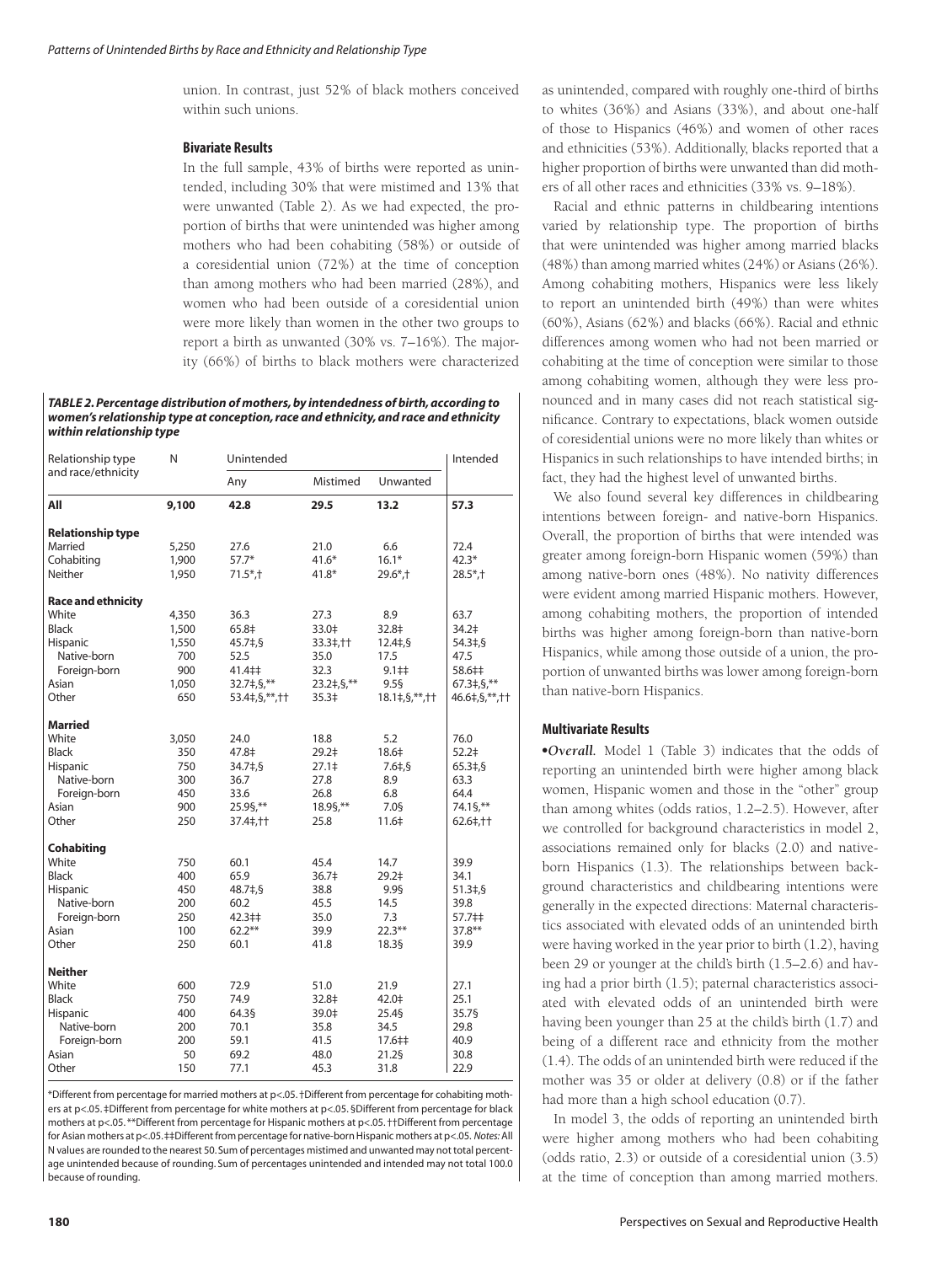union. In contrast, just 52% of black mothers conceived within such unions.

## **Bivariate Results**

In the full sample, 43% of births were reported as unintended, including 30% that were mistimed and 13% that were unwanted (Table 2). As we had expected, the proportion of births that were unintended was higher among mothers who had been cohabiting (58%) or outside of a coresidential union (72%) at the time of conception than among mothers who had been married (28%), and women who had been outside of a coresidential union were more likely than women in the other two groups to report a birth as unwanted (30% vs. 7–16%). The majority (66%) of births to black mothers were characterized

*TABLE 2. Percentage distribution of mothers, by intendedness of birth, according to women's relationship type at conception, race and ethnicity, and race and ethnicity within relationship type*

| Relationship type         | N     | Unintended        |                   |                       |                    |  |
|---------------------------|-------|-------------------|-------------------|-----------------------|--------------------|--|
| and race/ethnicity        |       | Any               | Mistimed          | Unwanted              |                    |  |
| All                       | 9,100 | 42.8              | 29.5              | 13.2                  | 57.3               |  |
| <b>Relationship type</b>  |       |                   |                   |                       |                    |  |
| Married                   | 5,250 | 27.6              | 21.0              | 6.6                   | 72.4               |  |
| Cohabiting                | 1,900 | $57.7*$           | $41.6*$           | $16.1*$               | $42.3*$            |  |
| Neither                   | 1,950 | $71.5^*$ , †      | $41.8*$           | $29.6^*$ , †          | $28.5^*$ , †       |  |
| <b>Race and ethnicity</b> |       |                   |                   |                       |                    |  |
| White                     | 4,350 | 36.3              | 27.3              | 8.9                   | 63.7               |  |
| <b>Black</b>              | 1,500 | 65.8‡             | 33.0‡             | 32.8‡                 | 34.2‡              |  |
| Hispanic                  | 1,550 | 45.7‡,§           | 33.3‡,††          | $12.4 \pm .5$         | 54.3‡,§            |  |
| Native-born               | 700   | 52.5              | 35.0              | 17.5                  | 47.5               |  |
| Foreign-born              | 900   | 41.4‡‡            | 32.3              | $9.1 \pm 1$           | 58.6##             |  |
| Asian                     | 1,050 | $32.7\pm$ , §, ** | $23.2 \div 5,$ ** | 9.55                  | $67.3 \pm 0.5$ ,** |  |
| Other                     | 650   | 53.4‡,§,**,††     | 35.3 <sup>‡</sup> | $18.1\pm$ , §, **, ++ | 46.6‡,§,**,††      |  |
| Married                   |       |                   |                   |                       |                    |  |
| White                     | 3,050 | 24.0              | 18.8              | 5.2                   | 76.0               |  |
| <b>Black</b>              | 350   | 47.8‡             | 29.2‡             | 18.6‡                 | 52.2‡              |  |
| Hispanic                  | 750   | 34.7‡,§           | 27.1‡             | $7.6 \pm .5$          | $65.3 \pm .5$      |  |
| Native-born               | 300   | 36.7              | 27.8              | 8.9                   | 63.3               |  |
| Foreign-born              | 450   | 33.6              | 26.8              | 6.8                   | 64.4               |  |
| Asian                     | 900   | 25.9§,**          | 18.9§,**          | 7.0§                  | 74.1§,**           |  |
| Other                     | 250   | 37.4‡,††          | 25.8              | 11.6‡                 | $62.6$ ‡,††        |  |
| <b>Cohabiting</b>         |       |                   |                   |                       |                    |  |
| White                     | 750   | 60.1              | 45.4              | 14.7                  | 39.9               |  |
| <b>Black</b>              | 400   | 65.9              | 36.7 <sup>‡</sup> | $29.2+$               | 34.1               |  |
| Hispanic                  | 450   | 48.7‡,§           | 38.8              | 9.9§                  | $51.3 \pm .5$      |  |
| Native-born               | 200   | 60.2              | 45.5              | 14.5                  | 39.8               |  |
| Foreign-born              | 250   | 42.3‡‡            | 35.0              | 7.3                   | 57.7##             |  |
| Asian                     | 100   | $62.2***$         | 39.9              | $22.3***$             | $37.8***$          |  |
| Other                     | 250   | 60.1              | 41.8              | 18.3§                 | 39.9               |  |
| <b>Neither</b>            |       |                   |                   |                       |                    |  |
| White                     | 600   | 72.9              | 51.0              | 21.9                  | 27.1               |  |
| <b>Black</b>              | 750   | 74.9              | 32.8‡             | 42.0‡                 | 25.1               |  |
| Hispanic                  | 400   | 64.3§             | 39.0‡             | 25.4§                 | 35.7§              |  |
| Native-born               | 200   | 70.1              | 35.8              | 34.5                  | 29.8               |  |
| Foreign-born              | 200   | 59.1              | 41.5              | 17.6‡‡                | 40.9               |  |
| Asian                     | 50    | 69.2              | 48.0              | 21.2§                 | 30.8               |  |
| Other                     | 150   | 77.1              | 45.3              | 31.8                  | 22.9               |  |

\*Different from percentage for married mothers at p<.05. †Different from percentage for cohabiting mothers at p<.05. ‡Different from percentage for white mothers at p<.05. §Different from percentage for black mothers at p<.05. \*\*Different from percentage for Hispanic mothers at p<.05. ††Different from percentage for Asian mothers at p<.05. ‡‡Different from percentage for native-born Hispanic mothers at p<.05. *Notes:* All N values are rounded to the nearest 50. Sum of percentages mistimed and unwanted may not total percentage unintended because of rounding. Sum of percentages unintended and intended may not total 100.0 because of rounding.

as unintended, compared with roughly one-third of births to whites (36%) and Asians (33%), and about one-half of those to Hispanics (46%) and women of other races and ethnicities (53%). Additionally, blacks reported that a higher proportion of births were unwanted than did mothers of all other races and ethnicities (33% vs. 9–18%).

Racial and ethnic patterns in childbearing intentions varied by relationship type. The proportion of births that were unintended was higher among married blacks (48%) than among married whites (24%) or Asians (26%). Among cohabiting mothers, Hispanics were less likely to report an unintended birth (49%) than were whites (60%), Asians (62%) and blacks (66%). Racial and ethnic differences among women who had not been married or cohabiting at the time of conception were similar to those among cohabiting women, although they were less pronounced and in many cases did not reach statistical significance. Contrary to expectations, black women outside of coresidential unions were no more likely than whites or Hispanics in such relationships to have intended births; in fact, they had the highest level of unwanted births.

We also found several key differences in childbearing intentions between foreign- and native-born Hispanics. Overall, the proportion of births that were intended was greater among foreign-born Hispanic women (59%) than among native-born ones (48%). No nativity differences were evident among married Hispanic mothers. However, among cohabiting mothers, the proportion of intended births was higher among foreign-born than native-born Hispanics, while among those outside of a union, the proportion of unwanted births was lower among foreign-born than native-born Hispanics.

# **Multivariate Results**

-*Overall.* Model 1 (Table 3) indicates that the odds of reporting an unintended birth were higher among black women, Hispanic women and those in the "other" group than among whites (odds ratios, 1.2–2.5). However, after we controlled for background characteristics in model 2, associations remained only for blacks (2.0) and nativeborn Hispanics (1.3). The relationships between background characteristics and childbearing intentions were generally in the expected directions: Maternal characteristics associated with elevated odds of an unintended birth were having worked in the year prior to birth (1.2), having been 29 or younger at the child's birth (1.5–2.6) and having had a prior birth (1.5); paternal characteristics associated with elevated odds of an unintended birth were having been younger than 25 at the child's birth (1.7) and being of a different race and ethnicity from the mother (1.4). The odds of an unintended birth were reduced if the mother was 35 or older at delivery (0.8) or if the father had more than a high school education (0.7).

In model 3, the odds of reporting an unintended birth were higher among mothers who had been cohabiting (odds ratio, 2.3) or outside of a coresidential union (3.5) at the time of conception than among married mothers.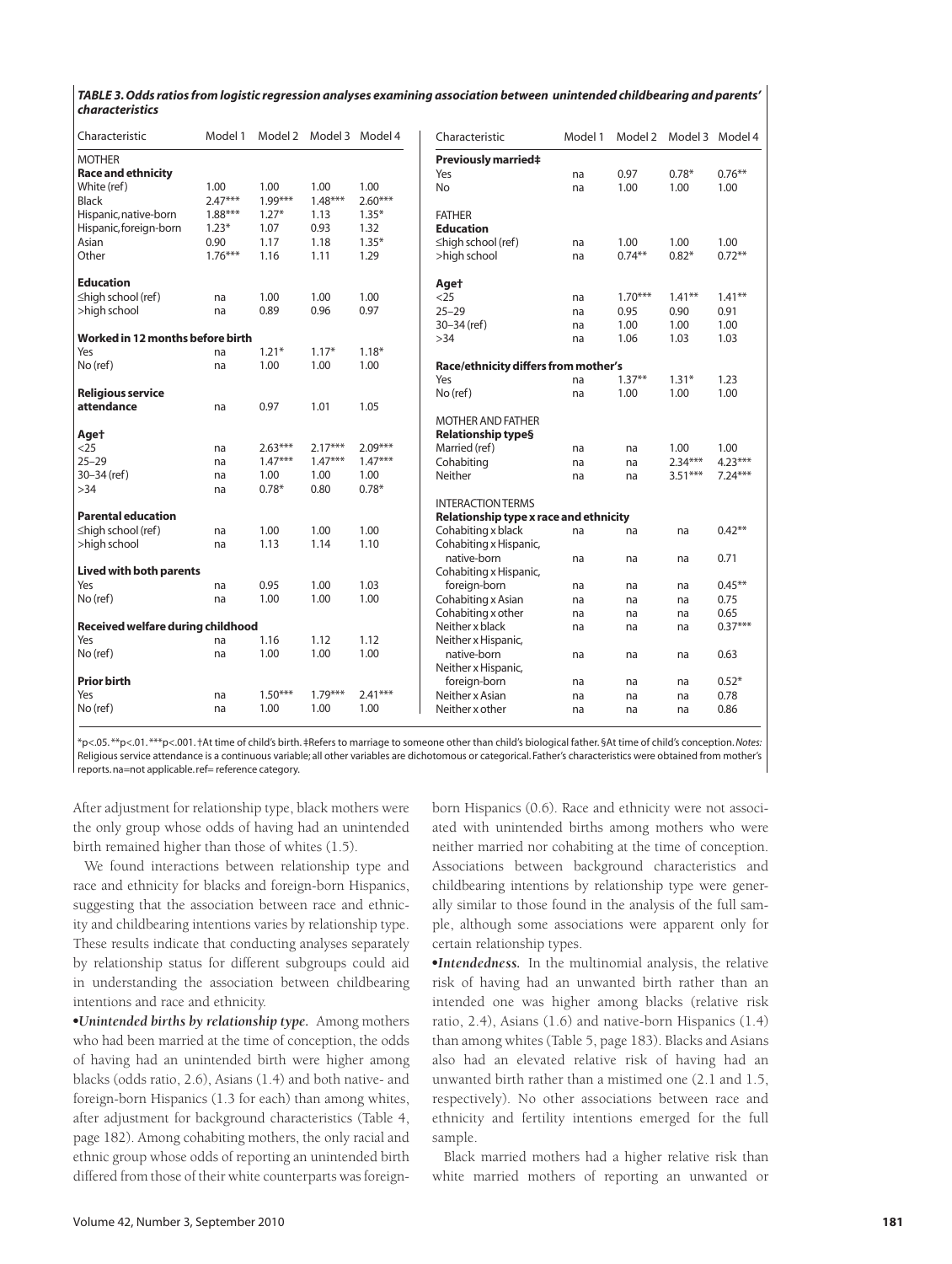| Characteristic                    | Model 1   | Model 2   |           | Model 3 Model 4 | Characteristic                         | Model 1 |           | Model 2 Model 3 Model 4 |           |
|-----------------------------------|-----------|-----------|-----------|-----------------|----------------------------------------|---------|-----------|-------------------------|-----------|
| <b>MOTHER</b>                     |           |           |           |                 | Previously married‡                    |         |           |                         |           |
| <b>Race and ethnicity</b>         |           |           |           |                 | Yes                                    | na      | 0.97      | $0.78*$                 | $0.76***$ |
| White (ref)                       | 1.00      | 1.00      | 1.00      | 1.00            | No                                     | na      | 1.00      | 1.00                    | 1.00      |
| <b>Black</b>                      | $2.47***$ | $1.99***$ | $1.48***$ | $2.60***$       |                                        |         |           |                         |           |
| Hispanic, native-born             | $1.88***$ | $1.27*$   | 1.13      | $1.35*$         | <b>FATHER</b>                          |         |           |                         |           |
| Hispanic, foreign-born            | $1.23*$   | 1.07      | 0.93      | 1.32            | <b>Education</b>                       |         |           |                         |           |
| Asian                             | 0.90      | 1.17      | 1.18      | $1.35*$         | ≤high school (ref)                     | na      | 1.00      | 1.00                    | 1.00      |
| Other                             | $1.76***$ | 1.16      | 1.11      | 1.29            | >high school                           | na      | $0.74***$ | $0.82*$                 | $0.72***$ |
| <b>Education</b>                  |           |           |           |                 | Aget                                   |         |           |                         |           |
| ≤high school (ref)                | na        | 1.00      | 1.00      | 1.00            | $<$ 25                                 | na      | $1.70***$ | $1.41***$               | $1.41***$ |
| >high school                      | na        | 0.89      | 0.96      | 0.97            | $25 - 29$                              | na      | 0.95      | 0.90                    | 0.91      |
|                                   |           |           |           |                 | 30-34 (ref)                            | na      | 1.00      | 1.00                    | 1.00      |
| Worked in 12 months before birth  |           |           |           |                 | >34                                    | na      | 1.06      | 1.03                    | 1.03      |
| Yes                               | na        | $1.21*$   | $1.17*$   | $1.18*$         |                                        |         |           |                         |           |
| No (ref)                          | na        | 1.00      | 1.00      | 1.00            | Race/ethnicity differs from mother's   |         |           |                         |           |
|                                   |           |           |           |                 | Yes                                    | na      | $1.37**$  | $1.31*$                 | 1.23      |
| <b>Religious service</b>          |           |           |           |                 | No (ref)                               | na      | 1.00      | 1.00                    | 1.00      |
| attendance                        | na        | 0.97      | 1.01      | 1.05            |                                        |         |           |                         |           |
|                                   |           |           |           |                 | <b>MOTHER AND FATHER</b>               |         |           |                         |           |
| Aget                              |           |           |           |                 | Relationship type§                     |         |           |                         |           |
| $<$ 25                            | na        | $2.63***$ | $2.17***$ | $2.09***$       | Married (ref)                          | na      | na        | 1.00                    | 1.00      |
| $25 - 29$                         | na        | $1.47***$ | $1.47***$ | $1.47***$       | Cohabiting                             | na      | na        | $2.34***$               | $4.23***$ |
| 30-34 (ref)                       | na        | 1.00      | 1.00      | 1.00            | Neither                                | na      | na        | $3.51***$               | $7.24***$ |
| >34                               | na        | $0.78*$   | 0.80      | $0.78*$         |                                        |         |           |                         |           |
|                                   |           |           |           |                 | <b>INTERACTION TERMS</b>               |         |           |                         |           |
| <b>Parental education</b>         |           |           |           |                 | Relationship type x race and ethnicity |         |           |                         |           |
| $\leq$ high school (ref)          | na        | 1.00      | 1.00      | 1.00            | Cohabiting x black                     | na      | na        | na                      | $0.42***$ |
| >high school                      | na        | 1.13      | 1.14      | 1.10            | Cohabiting x Hispanic,                 |         |           |                         |           |
|                                   |           |           |           |                 | native-born                            | na      | na        | na                      | 0.71      |
| <b>Lived with both parents</b>    |           |           |           |                 | Cohabiting x Hispanic,                 |         |           |                         |           |
| Yes                               | na        | 0.95      | 1.00      | 1.03            | foreign-born                           | na      | na        | na                      | $0.45***$ |
| No (ref)                          | na        | 1.00      | 1.00      | 1.00            | Cohabiting x Asian                     | na      | na        | na                      | 0.75      |
|                                   |           |           |           |                 | Cohabiting x other                     | na      | na        | na                      | 0.65      |
| Received welfare during childhood |           |           |           |                 | Neither x black                        | na      | na        | na                      | $0.37***$ |
| Yes                               | na        | 1.16      | 1.12      | 1.12            | Neither x Hispanic,                    |         |           |                         |           |
| No (ref)                          | na        | 1.00      | 1.00      | 1.00            | native-born                            | na      | na        | na                      | 0.63      |
|                                   |           |           |           |                 | Neither x Hispanic,                    |         |           |                         |           |
| <b>Prior birth</b>                |           |           |           |                 | foreign-born                           | na      | na        | na                      | $0.52*$   |
| Yes                               | na        | $1.50***$ | $1.79***$ | $2.41***$       | Neither x Asian                        | na      | na        | na                      | 0.78      |
| No (ref)                          | na        | 1.00      | 1.00      | 1.00            | Neither x other                        | na      | na        | na                      | 0.86      |
|                                   |           |           |           |                 |                                        |         |           |                         |           |

*TABLE 3. Odds ratios from logistic regression analyses examining association between unintended childbearing and parents' characteristics* 

\*p<.05. \*\*p<.01. \*\*\*p<.001. †At time of child's birth. ‡Refers to marriage to someone other than child's biological father. §At time of child's conception. *Notes:* Religious service attendance is a continuous variable; all other variables are dichotomous or categorical. Father's characteristics were obtained from mother's reports. na=not applicable. ref= reference category.

After adjustment for relationship type, black mothers were the only group whose odds of having had an unintended birth remained higher than those of whites (1.5).

We found interactions between relationship type and race and ethnicity for blacks and foreign-born Hispanics, suggesting that the association between race and ethnicity and childbearing intentions varies by relationship type. These results indicate that conducting analyses separately by relationship status for different subgroups could aid in understanding the association between childbearing intentions and race and ethnicity.

-*Unintended births by relationship type.* Among mothers who had been married at the time of conception, the odds of having had an unintended birth were higher among blacks (odds ratio, 2.6), Asians (1.4) and both native- and foreign-born Hispanics (1.3 for each) than among whites, after adjustment for background characteristics (Table 4, page 182). Among cohabiting mothers, the only racial and ethnic group whose odds of reporting an unintended birth differed from those of their white counterparts was foreignborn Hispanics (0.6). Race and ethnicity were not associated with unintended births among mothers who were neither married nor cohabiting at the time of conception. Associations between background characteristics and childbearing intentions by relationship type were generally similar to those found in the analysis of the full sample, although some associations were apparent only for certain relationship types.

-*Intendedness.* In the multinomial analysis, the relative risk of having had an unwanted birth rather than an intended one was higher among blacks (relative risk ratio, 2.4), Asians (1.6) and native-born Hispanics (1.4) than among whites (Table 5, page 183). Blacks and Asians also had an elevated relative risk of having had an unwanted birth rather than a mistimed one (2.1 and 1.5, respectively). No other associations between race and ethnicity and fertility intentions emerged for the full sample.

Black married mothers had a higher relative risk than white married mothers of reporting an unwanted or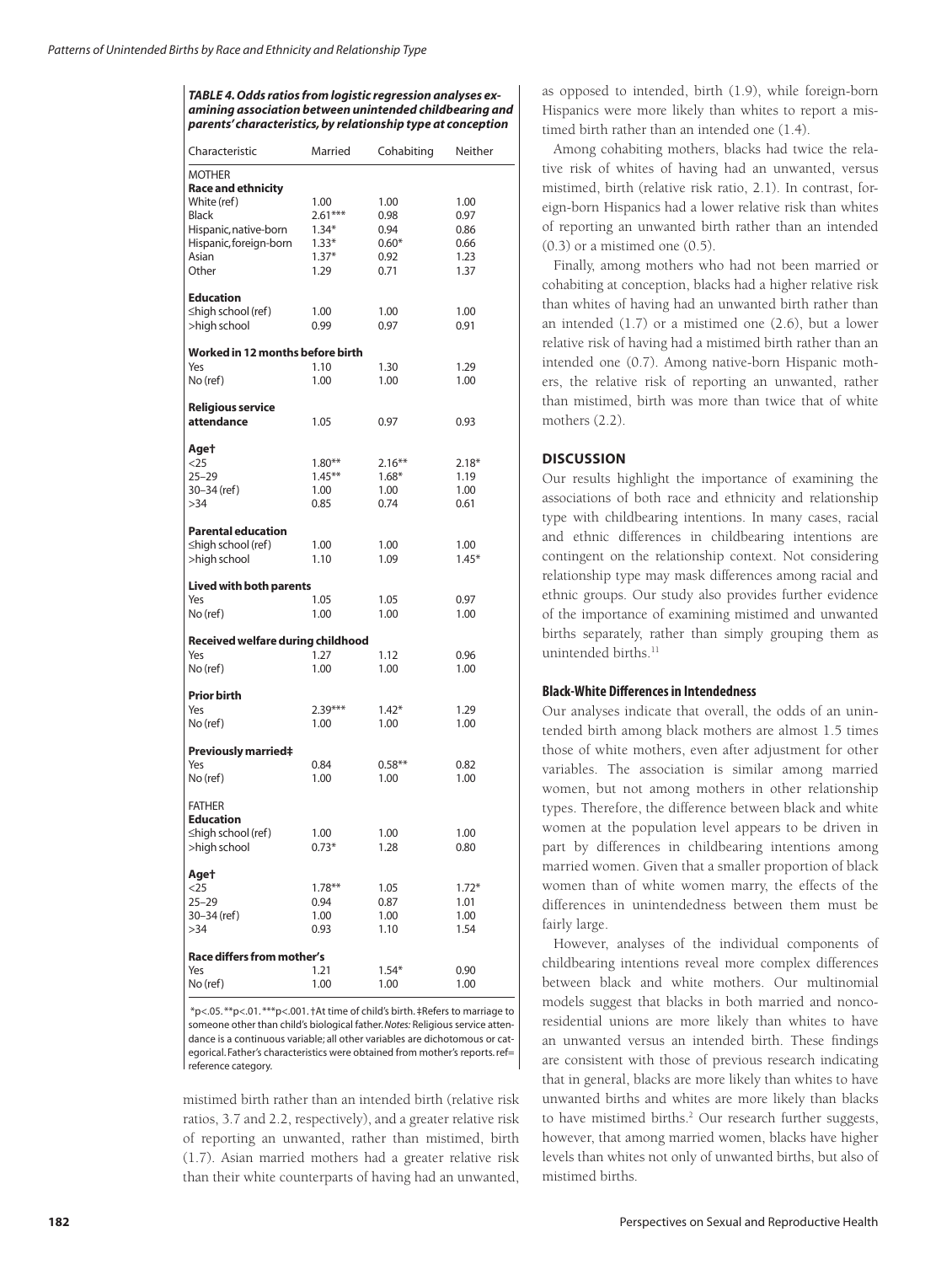*TABLE 4. Odds ratios from logistic regression analyses examining association between unintended childbearing and parents' characteristics, by relationship type at conception* 

| Characteristic                           | Married         | Cohabiting        | Neither      |  |  |  |  |
|------------------------------------------|-----------------|-------------------|--------------|--|--|--|--|
| <b>MOTHER</b>                            |                 |                   |              |  |  |  |  |
| <b>Race and ethnicity</b><br>White (ref) | 1.00            | 1.00              | 1.00         |  |  |  |  |
| <b>Black</b>                             | $2.61***$       | 0.98              | 0.97         |  |  |  |  |
| Hispanic, native-born                    | $1.34*$         | 0.94              | 0.86         |  |  |  |  |
| Hispanic, foreign-born                   | $1.33*$         | $0.60*$           | 0.66         |  |  |  |  |
| Asian                                    | $1.37*$         | 0.92              | 1.23         |  |  |  |  |
| Other                                    | 1.29            | 0.71              | 1.37         |  |  |  |  |
| <b>Education</b>                         |                 |                   |              |  |  |  |  |
| ≤high school (ref)                       | 1.00            | 1.00              | 1.00         |  |  |  |  |
| >high school                             | 0.99            | 0.97              | 0.91         |  |  |  |  |
| Worked in 12 months before birth         |                 |                   |              |  |  |  |  |
| Yes                                      | 1.10            | 1.30              | 1.29         |  |  |  |  |
| No (ref)                                 | 1.00            | 1.00              | 1.00         |  |  |  |  |
| <b>Religious service</b>                 |                 |                   |              |  |  |  |  |
| attendance                               | 1.05            | 0.97              | 0.93         |  |  |  |  |
| Age†                                     |                 |                   |              |  |  |  |  |
| $<$ 25                                   | $1.80***$       | $2.16***$         | $2.18*$      |  |  |  |  |
| $25 - 29$                                | $1.45***$       | $1.68*$           | 1.19         |  |  |  |  |
| 30-34 (ref)                              | 1.00            | 1.00              | 1.00         |  |  |  |  |
| >34                                      | 0.85            | 0.74              | 0.61         |  |  |  |  |
| <b>Parental education</b>                |                 |                   |              |  |  |  |  |
| ≤high school (ref)                       | 1.00            | 1.00              | 1.00         |  |  |  |  |
| >high school                             | 1.10            | 1.09              | $1.45*$      |  |  |  |  |
| <b>Lived with both parents</b>           |                 |                   |              |  |  |  |  |
| Yes                                      | 1.05            | 1.05              | 0.97         |  |  |  |  |
| No (ref)                                 | 1.00            | 1.00              | 1.00         |  |  |  |  |
| Received welfare during childhood        |                 |                   |              |  |  |  |  |
| Yes<br>No (ref)                          | 1.27<br>1.00    | 1.12<br>1.00      | 0.96<br>1.00 |  |  |  |  |
|                                          |                 |                   |              |  |  |  |  |
| <b>Prior birth</b><br>Yes                | $2.39***$       |                   |              |  |  |  |  |
| No (ref)                                 | 1.00            | $1.42*$<br>1.00   | 1.29<br>1.00 |  |  |  |  |
|                                          |                 |                   |              |  |  |  |  |
| Previously married‡                      |                 |                   |              |  |  |  |  |
| Yes<br>No (ref)                          | 0.84<br>1.00    | $0.58***$<br>1.00 | 0.82<br>1.00 |  |  |  |  |
|                                          |                 |                   |              |  |  |  |  |
| <b>FATHER</b>                            |                 |                   |              |  |  |  |  |
| <b>Education</b>                         |                 |                   |              |  |  |  |  |
| $\leq$ high school (ref)<br>>high school | 1.00<br>$0.73*$ | 1.00<br>1.28      | 1.00<br>0.80 |  |  |  |  |
|                                          |                 |                   |              |  |  |  |  |
| Aget<br>$<$ 25                           | $1.78**$        | 1.05              | $1.72*$      |  |  |  |  |
| $25 - 29$                                | 0.94            | 0.87              | 1.01         |  |  |  |  |
| 30–34 (ref)                              | 1.00            | 1.00              | 1.00         |  |  |  |  |
| >34                                      | 0.93            | 1.10              | 1.54         |  |  |  |  |
| Race differs from mother's               |                 |                   |              |  |  |  |  |
| Yes                                      | 1.21            | $1.54*$           | 0.90         |  |  |  |  |
| No (ref)                                 | 1.00            | 1.00              | 1.00         |  |  |  |  |
|                                          |                 |                   |              |  |  |  |  |

 \*p<.05. \*\*p<.01. \*\*\*p<.001. †At time of child's birth. ‡Refers to marriage to someone other than child's biological father. *Notes:* Religious service attendance is a continuous variable; all other variables are dichotomous or categorical. Father's characteristics were obtained from mother's reports. ref= reference category.

mistimed birth rather than an intended birth (relative risk ratios, 3.7 and 2.2, respectively), and a greater relative risk of reporting an unwanted, rather than mistimed, birth (1.7). Asian married mothers had a greater relative risk than their white counterparts of having had an unwanted, as opposed to intended, birth (1.9), while foreign-born Hispanics were more likely than whites to report a mistimed birth rather than an intended one (1.4).

Among cohabiting mothers, blacks had twice the relative risk of whites of having had an unwanted, versus mistimed, birth (relative risk ratio, 2.1). In contrast, foreign-born Hispanics had a lower relative risk than whites of reporting an unwanted birth rather than an intended (0.3) or a mistimed one (0.5).

Finally, among mothers who had not been married or cohabiting at conception, blacks had a higher relative risk than whites of having had an unwanted birth rather than an intended (1.7) or a mistimed one (2.6), but a lower relative risk of having had a mistimed birth rather than an intended one (0.7). Among native-born Hispanic mothers, the relative risk of reporting an unwanted, rather than mistimed, birth was more than twice that of white mothers (2.2).

# **DISCUSSION**

Our results highlight the importance of examining the associations of both race and ethnicity and relationship type with childbearing intentions. In many cases, racial and ethnic differences in childbearing intentions are contingent on the relationship context. Not considering relationship type may mask differences among racial and ethnic groups. Our study also provides further evidence of the importance of examining mistimed and unwanted births separately, rather than simply grouping them as unintended births.<sup>11</sup>

# **Black-White Differences in Intendedness**

Our analyses indicate that overall, the odds of an unintended birth among black mothers are almost 1.5 times those of white mothers, even after adjustment for other variables. The association is similar among married women, but not among mothers in other relationship types. Therefore, the difference between black and white women at the population level appears to be driven in part by differences in childbearing intentions among married women. Given that a smaller proportion of black women than of white women marry, the effects of the differences in unintendedness between them must be fairly large.

However, analyses of the individual components of childbearing intentions reveal more complex differences between black and white mothers. Our multinomial models suggest that blacks in both married and noncoresidential unions are more likely than whites to have an unwanted versus an intended birth. These findings are consistent with those of previous research indicating that in general, blacks are more likely than whites to have unwanted births and whites are more likely than blacks to have mistimed births.<sup>2</sup> Our research further suggests, however, that among married women, blacks have higher levels than whites not only of unwanted births, but also of mistimed births.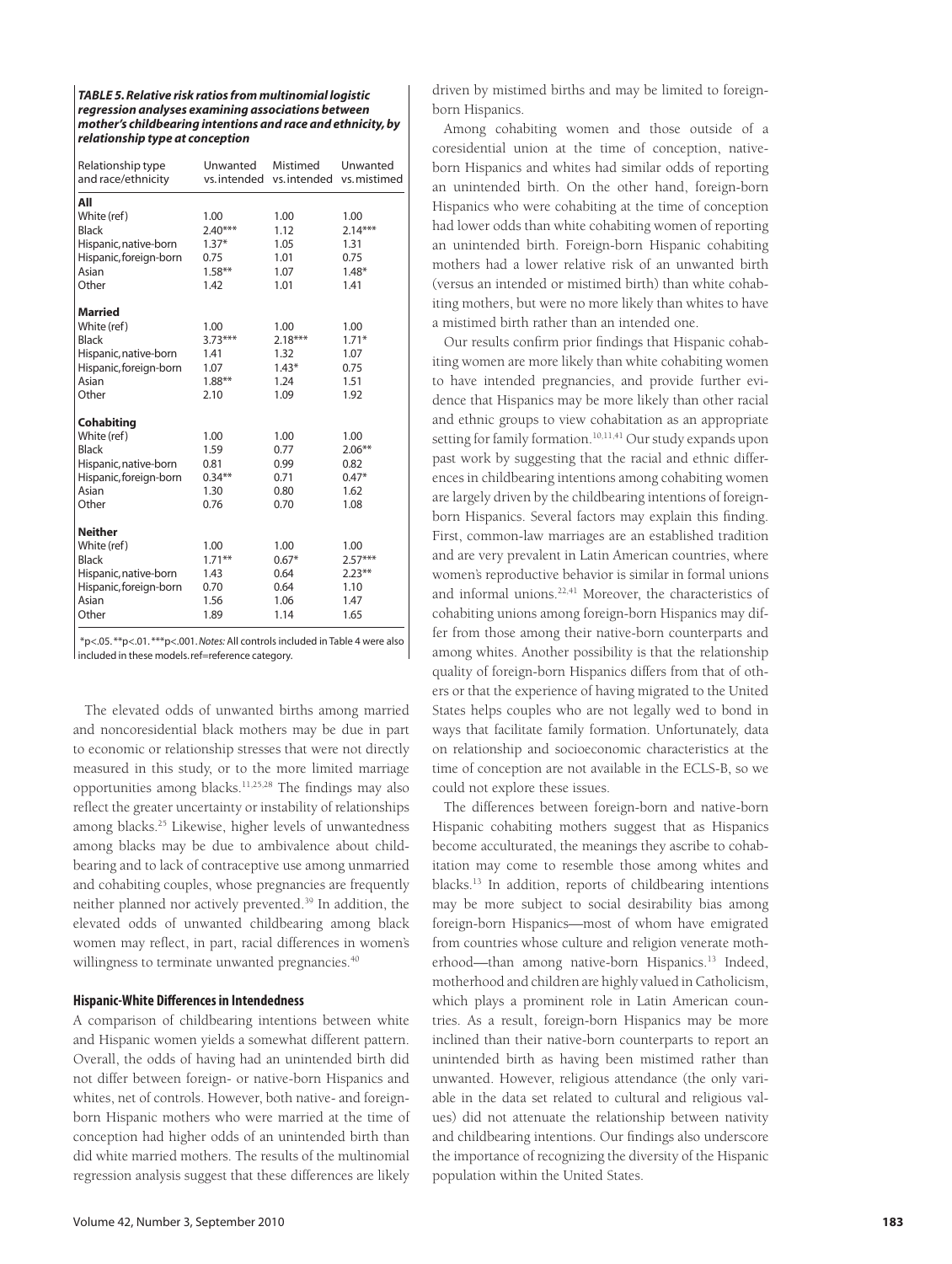| Relationship type<br>and race/ethnicity | Unwanted<br>vs. intended | Mistimed<br>vs. intended | Unwanted<br>vs. mistimed |
|-----------------------------------------|--------------------------|--------------------------|--------------------------|
| All                                     |                          |                          |                          |
| White (ref)                             | 1.00                     | 1.00                     | 1.00                     |
| Black                                   | $2.40***$                | 1.12                     | $2.14***$                |
| Hispanic, native-born                   | $1.37*$                  | 1.05                     | 1.31                     |
| Hispanic, foreign-born                  | 0.75                     | 1.01                     | 0.75                     |
| Asian                                   | $1.58***$                | 1.07                     | $1.48*$                  |
| Other                                   | 1.42                     | 1.01                     | 1.41                     |
| <b>Married</b>                          |                          |                          |                          |
| White (ref)                             | 1.00                     | 1.00                     | 1.00                     |
| Black                                   | $3.73***$                | $2.18***$                | $1.71*$                  |
| Hispanic, native-born                   | 1.41                     | 1.32                     | 1.07                     |
| Hispanic, foreign-born                  | 1.07                     | $1.43*$                  | 0.75                     |
| Asian                                   | $1.88***$                | 1.24                     | 1.51                     |
| Other                                   | 2.10                     | 1.09                     | 1.92                     |
| <b>Cohabiting</b>                       |                          |                          |                          |
| White (ref)                             | 1.00                     | 1.00                     | 1.00                     |
| <b>Black</b>                            | 1.59                     | 0.77                     | $2.06***$                |
| Hispanic, native-born                   | 0.81                     | 0.99                     | 0.82                     |
| Hispanic, foreign-born                  | $0.34**$                 | 0.71                     | $0.47*$                  |
| Asian                                   | 1.30                     | 0.80                     | 1.62                     |
| Other                                   | 0.76                     | 0.70                     | 1.08                     |
| <b>Neither</b>                          |                          |                          |                          |
| White (ref)                             | 1.00                     | 1.00                     | 1.00                     |
| Black                                   | $1.71***$                | $0.67*$                  | $2.57***$                |
| Hispanic, native-born                   | 1.43                     | 0.64                     | $2.23***$                |
| Hispanic, foreign-born                  | 0.70                     | 0.64                     | 1.10                     |
| Asian                                   | 1.56                     | 1.06                     | 1.47                     |
| Other                                   | 1.89                     | 1.14                     | 1.65                     |

 \*p<.05. \*\*p<.01. \*\*\*p<.001. *Notes:* All controls included in Table 4 were also included in these models. ref=reference category.

The elevated odds of unwanted births among married and noncoresidential black mothers may be due in part to economic or relationship stresses that were not directly measured in this study, or to the more limited marriage opportunities among blacks.<sup>11,25,28</sup> The findings may also reflect the greater uncertainty or instability of relationships among blacks.25 Likewise, higher levels of unwantedness among blacks may be due to ambivalence about childbearing and to lack of contraceptive use among unmarried and cohabiting couples, whose pregnancies are frequently neither planned nor actively prevented.39 In addition, the elevated odds of unwanted childbearing among black women may reflect, in part, racial differences in women's willingness to terminate unwanted pregnancies.<sup>40</sup>

## **Hispanic-White Differences in Intendedness**

A comparison of childbearing intentions between white and Hispanic women yields a somewhat different pattern. Overall, the odds of having had an unintended birth did not differ between foreign- or native-born Hispanics and whites, net of controls. However, both native- and foreignborn Hispanic mothers who were married at the time of conception had higher odds of an unintended birth than did white married mothers. The results of the multinomial regression analysis suggest that these differences are likely

driven by mistimed births and may be limited to foreignborn Hispanics.

Among cohabiting women and those outside of a coresidential union at the time of conception, nativeborn Hispanics and whites had similar odds of reporting an unintended birth. On the other hand, foreign-born Hispanics who were cohabiting at the time of conception had lower odds than white cohabiting women of reporting an unintended birth. Foreign-born Hispanic cohabiting mothers had a lower relative risk of an unwanted birth (versus an intended or mistimed birth) than white cohabiting mothers, but were no more likely than whites to have a mistimed birth rather than an intended one.

Our results confirm prior findings that Hispanic cohabiting women are more likely than white cohabiting women to have intended pregnancies, and provide further evidence that Hispanics may be more likely than other racial and ethnic groups to view cohabitation as an appropriate setting for family formation.<sup>10,11,41</sup> Our study expands upon past work by suggesting that the racial and ethnic differences in childbearing intentions among cohabiting women are largely driven by the childbearing intentions of foreignborn Hispanics. Several factors may explain this finding. First, common-law marriages are an established tradition and are very prevalent in Latin American countries, where women's reproductive behavior is similar in formal unions and informal unions.22,41 Moreover, the characteristics of cohabiting unions among foreign-born Hispanics may differ from those among their native-born counterparts and among whites. Another possibility is that the relationship quality of foreign-born Hispanics differs from that of others or that the experience of having migrated to the United States helps couples who are not legally wed to bond in ways that facilitate family formation. Unfortunately, data on relationship and socioeconomic characteristics at the time of conception are not available in the ECLS-B, so we could not explore these issues.

The differences between foreign-born and native-born Hispanic cohabiting mothers suggest that as Hispanics become acculturated, the meanings they ascribe to cohabitation may come to resemble those among whites and blacks.13 In addition, reports of childbearing intentions may be more subject to social desirability bias among foreign-born Hispanics—most of whom have emigrated from countries whose culture and religion venerate motherhood—than among native-born Hispanics.13 Indeed, motherhood and children are highly valued in Catholicism, which plays a prominent role in Latin American countries. As a result, foreign-born Hispanics may be more inclined than their native-born counterparts to report an unintended birth as having been mistimed rather than unwanted. However, religious attendance (the only variable in the data set related to cultural and religious values) did not attenuate the relationship between nativity and childbearing intentions. Our findings also underscore the importance of recognizing the diversity of the Hispanic population within the United States.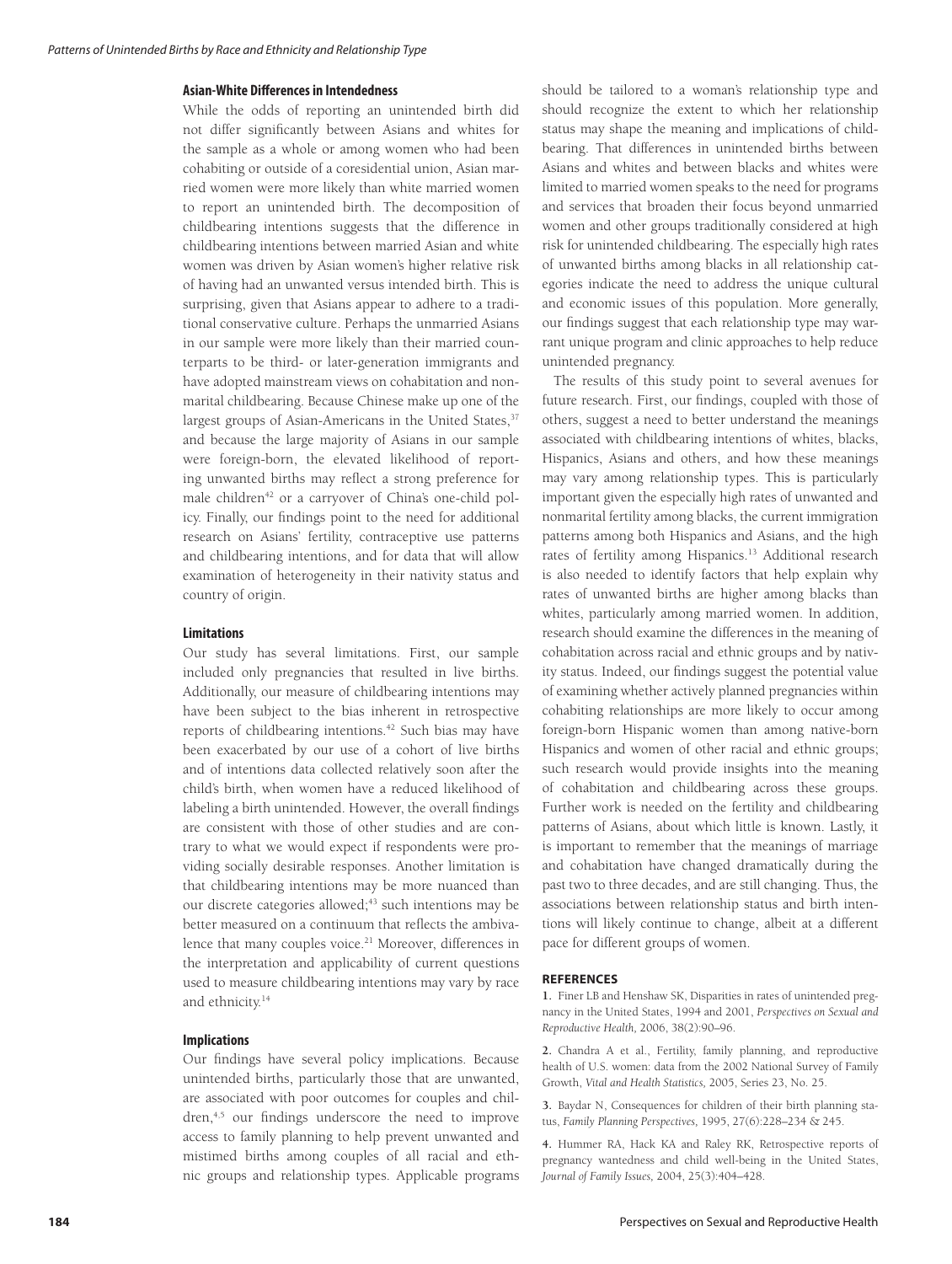#### **Asian-White Differences in Intendedness**

While the odds of reporting an unintended birth did not differ significantly between Asians and whites for the sample as a whole or among women who had been cohabiting or outside of a coresidential union, Asian married women were more likely than white married women to report an unintended birth. The decomposition of childbearing intentions suggests that the difference in childbearing intentions between married Asian and white women was driven by Asian women's higher relative risk of having had an unwanted versus intended birth. This is surprising, given that Asians appear to adhere to a traditional conservative culture. Perhaps the unmarried Asians in our sample were more likely than their married counterparts to be third- or later-generation immigrants and have adopted mainstream views on cohabitation and nonmarital childbearing. Because Chinese make up one of the largest groups of Asian-Americans in the United States,<sup>37</sup> and because the large majority of Asians in our sample were foreign-born, the elevated likelihood of reporting unwanted births may reflect a strong preference for male children<sup>42</sup> or a carryover of China's one-child policy. Finally, our findings point to the need for additional research on Asians' fertility, contraceptive use patterns and childbearing intentions, and for data that will allow examination of heterogeneity in their nativity status and country of origin.

## **Limitations**

Our study has several limitations. First, our sample included only pregnancies that resulted in live births. Additionally, our measure of childbearing intentions may have been subject to the bias inherent in retrospective reports of childbearing intentions.<sup>42</sup> Such bias may have been exacerbated by our use of a cohort of live births and of intentions data collected relatively soon after the child's birth, when women have a reduced likelihood of labeling a birth unintended. However, the overall findings are consistent with those of other studies and are contrary to what we would expect if respondents were providing socially desirable responses. Another limitation is that childbearing intentions may be more nuanced than our discrete categories allowed;<sup>43</sup> such intentions may be better measured on a continuum that reflects the ambivalence that many couples voice.<sup>21</sup> Moreover, differences in the interpretation and applicability of current questions used to measure childbearing intentions may vary by race and ethnicity.14

#### **Implications**

Our findings have several policy implications. Because unintended births, particularly those that are unwanted, are associated with poor outcomes for couples and children,<sup>4,5</sup> our findings underscore the need to improve access to family planning to help prevent unwanted and mistimed births among couples of all racial and ethnic groups and relationship types. Applicable programs should be tailored to a woman's relationship type and should recognize the extent to which her relationship status may shape the meaning and implications of childbearing. That differences in unintended births between Asians and whites and between blacks and whites were limited to married women speaks to the need for programs and services that broaden their focus beyond unmarried women and other groups traditionally considered at high risk for unintended childbearing. The especially high rates of unwanted births among blacks in all relationship categories indicate the need to address the unique cultural and economic issues of this population. More generally, our findings suggest that each relationship type may warrant unique program and clinic approaches to help reduce unintended pregnancy.

The results of this study point to several avenues for future research. First, our findings, coupled with those of others, suggest a need to better understand the meanings associated with childbearing intentions of whites, blacks, Hispanics, Asians and others, and how these meanings may vary among relationship types. This is particularly important given the especially high rates of unwanted and nonmarital fertility among blacks, the current immigration patterns among both Hispanics and Asians, and the high rates of fertility among Hispanics.<sup>13</sup> Additional research is also needed to identify factors that help explain why rates of unwanted births are higher among blacks than whites, particularly among married women. In addition, research should examine the differences in the meaning of cohabitation across racial and ethnic groups and by nativity status. Indeed, our findings suggest the potential value of examining whether actively planned pregnancies within cohabiting relationships are more likely to occur among foreign-born Hispanic women than among native-born Hispanics and women of other racial and ethnic groups; such research would provide insights into the meaning of cohabitation and childbearing across these groups. Further work is needed on the fertility and childbearing patterns of Asians, about which little is known. Lastly, it is important to remember that the meanings of marriage and cohabitation have changed dramatically during the past two to three decades, and are still changing. Thus, the associations between relationship status and birth intentions will likely continue to change, albeit at a different pace for different groups of women.

#### **REFERENCES**

**1.** Finer LB and Henshaw SK, Disparities in rates of unintended pregnancy in the United States, 1994 and 2001, *Perspectives on Sexual and Reproductive Health,* 2006, 38(2):90–96.

**2.** Chandra A et al., Fertility, family planning, and reproductive health of U.S. women: data from the 2002 National Survey of Family Growth, *Vital and Health Statistics,* 2005, Series 23, No. 25.

**3.** Baydar N, Consequences for children of their birth planning status, *Family Planning Perspectives,* 1995, 27(6):228–234 & 245.

**4.** Hummer RA, Hack KA and Raley RK, Retrospective reports of pregnancy wantedness and child well-being in the United States, *Journal of Family Issues,* 2004, 25(3):404–428.